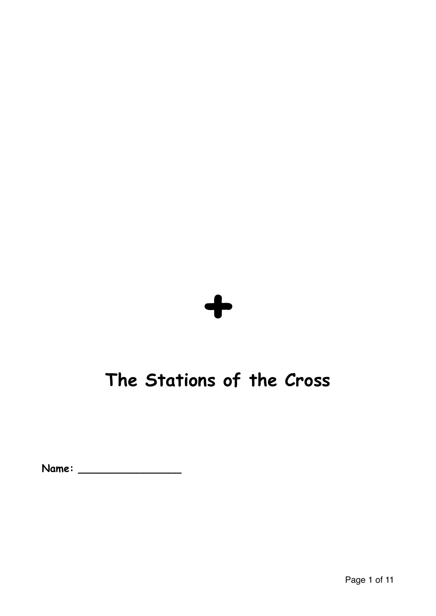

# **The Stations of the Cross**

**Name: \_\_\_\_\_\_\_\_\_\_\_\_\_\_\_\_**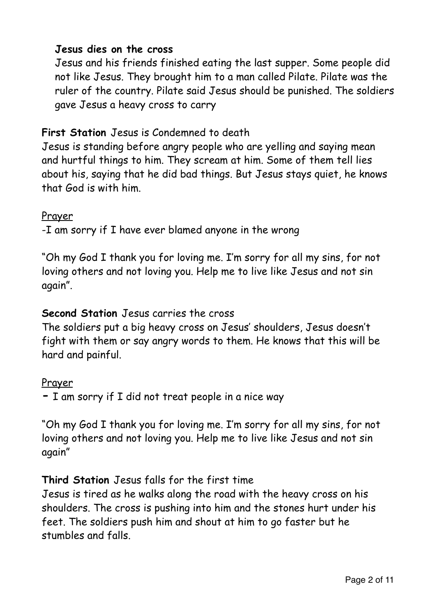# **Jesus dies on the cross**

Jesus and his friends finished eating the last supper. Some people did not like Jesus. They brought him to a man called Pilate. Pilate was the ruler of the country. Pilate said Jesus should be punished. The soldiers gave Jesus a heavy cross to carry

# **First Station** Jesus is Condemned to death

Jesus is standing before angry people who are yelling and saying mean and hurtful things to him. They scream at him. Some of them tell lies about his, saying that he did bad things. But Jesus stays quiet, he knows that God is with him.

# Prayer

-I am sorry if I have ever blamed anyone in the wrong

"Oh my God I thank you for loving me. I'm sorry for all my sins, for not loving others and not loving you. Help me to live like Jesus and not sin again".

# **Second Station** Jesus carries the cross

The soldiers put a big heavy cross on Jesus' shoulders, Jesus doesn't fight with them or say angry words to them. He knows that this will be hard and painful.

#### Prayer

**-** I am sorry if I did not treat people in a nice way

"Oh my God I thank you for loving me. I'm sorry for all my sins, for not loving others and not loving you. Help me to live like Jesus and not sin again"

# **Third Station** Jesus falls for the first time

Jesus is tired as he walks along the road with the heavy cross on his shoulders. The cross is pushing into him and the stones hurt under his feet. The soldiers push him and shout at him to go faster but he stumbles and falls.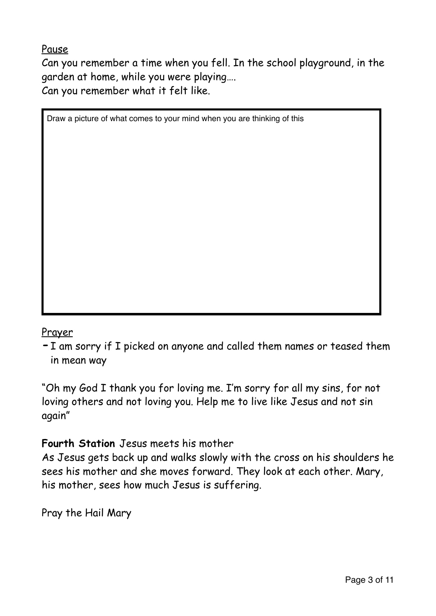Pause

Can you remember a time when you fell. In the school playground, in the garden at home, while you were playing…. Can you remember what it felt like.

Draw a picture of what comes to your mind when you are thinking of this

#### Prayer

**-**I am sorry if I picked on anyone and called them names or teased them in mean way

"Oh my God I thank you for loving me. I'm sorry for all my sins, for not loving others and not loving you. Help me to live like Jesus and not sin again"

# **Fourth Station** Jesus meets his mother

As Jesus gets back up and walks slowly with the cross on his shoulders he sees his mother and she moves forward. They look at each other. Mary, his mother, sees how much Jesus is suffering.

Pray the Hail Mary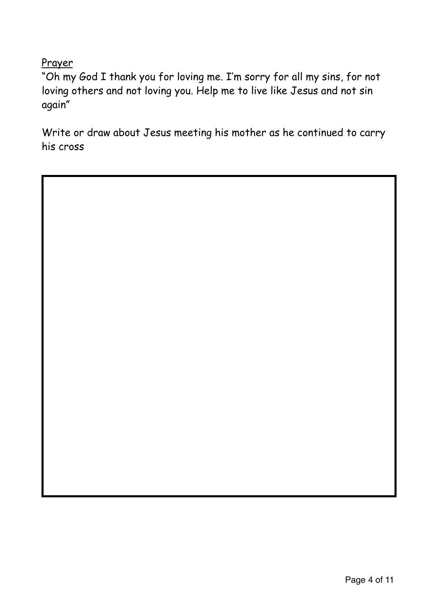Prayer

"Oh my God I thank you for loving me. I'm sorry for all my sins, for not loving others and not loving you. Help me to live like Jesus and not sin again"

Write or draw about Jesus meeting his mother as he continued to carry his cross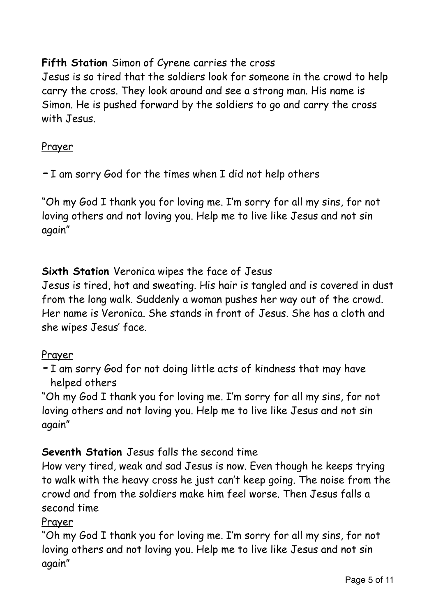# **Fifth Station** Simon of Cyrene carries the cross

Jesus is so tired that the soldiers look for someone in the crowd to help carry the cross. They look around and see a strong man. His name is Simon. He is pushed forward by the soldiers to go and carry the cross with Jesus.

### **Prayer**

**-**I am sorry God for the times when I did not help others

"Oh my God I thank you for loving me. I'm sorry for all my sins, for not loving others and not loving you. Help me to live like Jesus and not sin again"

# **Sixth Station** Veronica wipes the face of Jesus

Jesus is tired, hot and sweating. His hair is tangled and is covered in dust from the long walk. Suddenly a woman pushes her way out of the crowd. Her name is Veronica. She stands in front of Jesus. She has a cloth and she wipes Jesus' face.

#### Prayer

**-**I am sorry God for not doing little acts of kindness that may have helped others

"Oh my God I thank you for loving me. I'm sorry for all my sins, for not loving others and not loving you. Help me to live like Jesus and not sin again"

# **Seventh Station** Jesus falls the second time

How very tired, weak and sad Jesus is now. Even though he keeps trying to walk with the heavy cross he just can't keep going. The noise from the crowd and from the soldiers make him feel worse. Then Jesus falls a second time

# Prayer

"Oh my God I thank you for loving me. I'm sorry for all my sins, for not loving others and not loving you. Help me to live like Jesus and not sin again"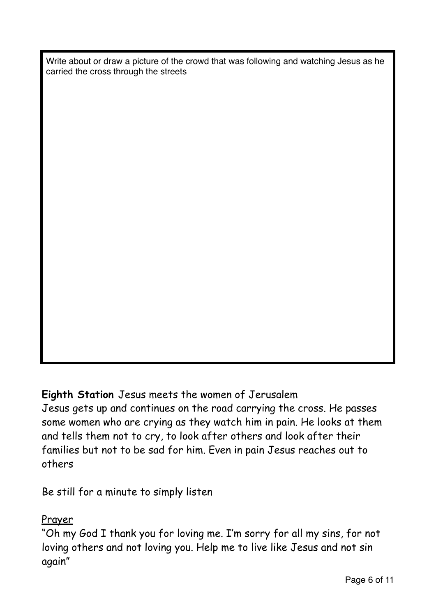Write about or draw a picture of the crowd that was following and watching Jesus as he carried the cross through the streets

# **Eighth Station** Jesus meets the women of Jerusalem

Jesus gets up and continues on the road carrying the cross. He passes some women who are crying as they watch him in pain. He looks at them and tells them not to cry, to look after others and look after their families but not to be sad for him. Even in pain Jesus reaches out to others

Be still for a minute to simply listen

#### Prayer

"Oh my God I thank you for loving me. I'm sorry for all my sins, for not loving others and not loving you. Help me to live like Jesus and not sin again"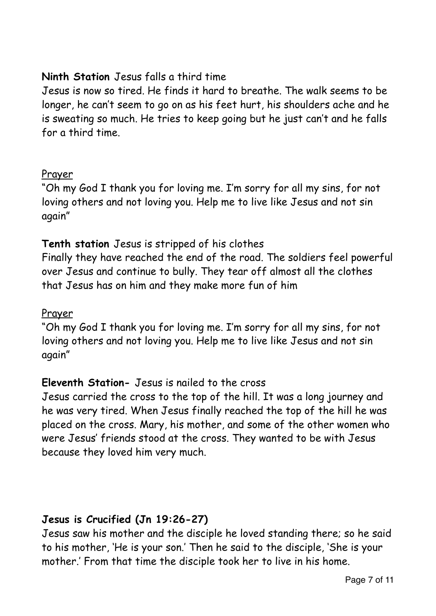# **Ninth Station** Jesus falls a third time

Jesus is now so tired. He finds it hard to breathe. The walk seems to be longer, he can't seem to go on as his feet hurt, his shoulders ache and he is sweating so much. He tries to keep going but he just can't and he falls for a third time.

#### Prayer

"Oh my God I thank you for loving me. I'm sorry for all my sins, for not loving others and not loving you. Help me to live like Jesus and not sin again"

# **Tenth station** Jesus is stripped of his clothes

Finally they have reached the end of the road. The soldiers feel powerful over Jesus and continue to bully. They tear off almost all the clothes that Jesus has on him and they make more fun of him

#### Prayer

"Oh my God I thank you for loving me. I'm sorry for all my sins, for not loving others and not loving you. Help me to live like Jesus and not sin again"

#### **Eleventh Station-** Jesus is nailed to the cross

Jesus carried the cross to the top of the hill. It was a long journey and he was very tired. When Jesus finally reached the top of the hill he was placed on the cross. Mary, his mother, and some of the other women who were Jesus' friends stood at the cross. They wanted to be with Jesus because they loved him very much.

#### **Jesus is Crucified (Jn 19:26-27)**

Jesus saw his mother and the disciple he loved standing there; so he said to his mother, 'He is your son.' Then he said to the disciple, 'She is your mother.' From that time the disciple took her to live in his home.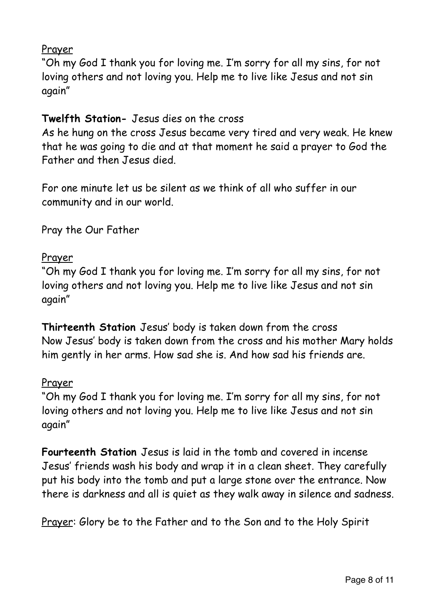### Prayer

"Oh my God I thank you for loving me. I'm sorry for all my sins, for not loving others and not loving you. Help me to live like Jesus and not sin again"

# **Twelfth Station-** Jesus dies on the cross

As he hung on the cross Jesus became very tired and very weak. He knew that he was going to die and at that moment he said a prayer to God the Father and then Jesus died.

For one minute let us be silent as we think of all who suffer in our community and in our world.

Pray the Our Father

# Prayer

"Oh my God I thank you for loving me. I'm sorry for all my sins, for not loving others and not loving you. Help me to live like Jesus and not sin again"

**Thirteenth Station** Jesus' body is taken down from the cross Now Jesus' body is taken down from the cross and his mother Mary holds him gently in her arms. How sad she is. And how sad his friends are.

#### Prayer

"Oh my God I thank you for loving me. I'm sorry for all my sins, for not loving others and not loving you. Help me to live like Jesus and not sin again"

**Fourteenth Station** Jesus is laid in the tomb and covered in incense Jesus' friends wash his body and wrap it in a clean sheet. They carefully put his body into the tomb and put a large stone over the entrance. Now there is darkness and all is quiet as they walk away in silence and sadness.

Prayer: Glory be to the Father and to the Son and to the Holy Spirit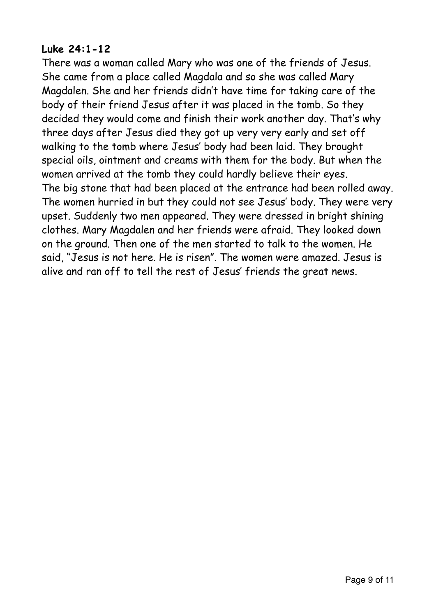#### **Luke 24:1-12**

There was a woman called Mary who was one of the friends of Jesus. She came from a place called Magdala and so she was called Mary Magdalen. She and her friends didn't have time for taking care of the body of their friend Jesus after it was placed in the tomb. So they decided they would come and finish their work another day. That's why three days after Jesus died they got up very very early and set off walking to the tomb where Jesus' body had been laid. They brought special oils, ointment and creams with them for the body. But when the women arrived at the tomb they could hardly believe their eyes. The big stone that had been placed at the entrance had been rolled away. The women hurried in but they could not see Jesus' body. They were very upset. Suddenly two men appeared. They were dressed in bright shining clothes. Mary Magdalen and her friends were afraid. They looked down on the ground. Then one of the men started to talk to the women. He said, "Jesus is not here. He is risen". The women were amazed. Jesus is alive and ran off to tell the rest of Jesus' friends the great news.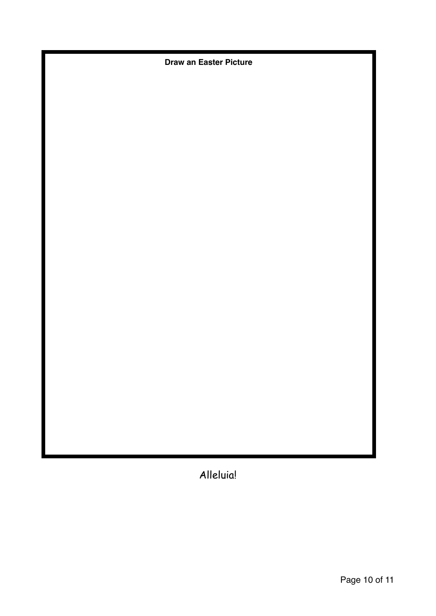**Draw an Easter Picture**

Alleluia!